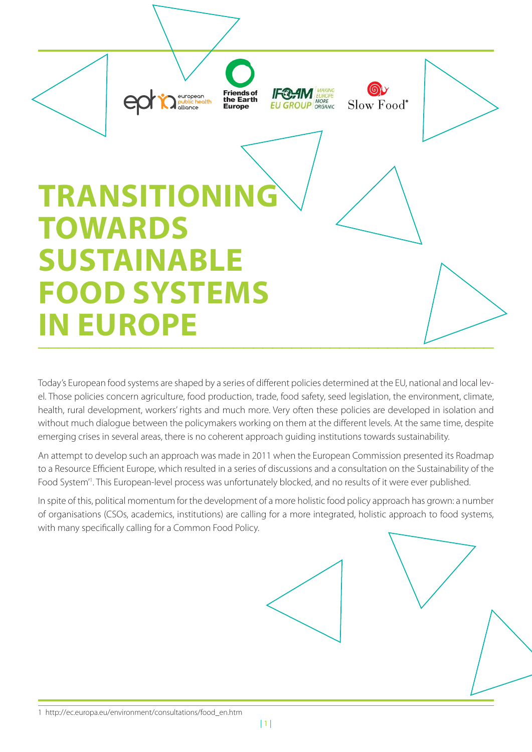

Today's European food systems are shaped by a series of different policies determined at the EU, national and local level. Those policies concern agriculture, food production, trade, food safety, seed legislation, the environment, climate, health, rural development, workers' rights and much more. Very often these policies are developed in isolation and without much dialogue between the policymakers working on them at the different levels. At the same time, despite emerging crises in several areas, there is no coherent approach guiding institutions towards sustainability.

An attempt to develop such an approach was made in 2011 when the European Commission presented its Roadmap to a Resource Efficient Europe, which resulted in a series of discussions and a consultation on the Sustainability of the Food System<sup>"</sup>. This European-level process was unfortunately blocked, and no results of it were ever published.

In spite of this, political momentum for the development of a more holistic food policy approach has grown: a number of organisations (CSOs, academics, institutions) are calling for a more integrated, holistic approach to food systems, with many specifically calling for a Common Food Policy.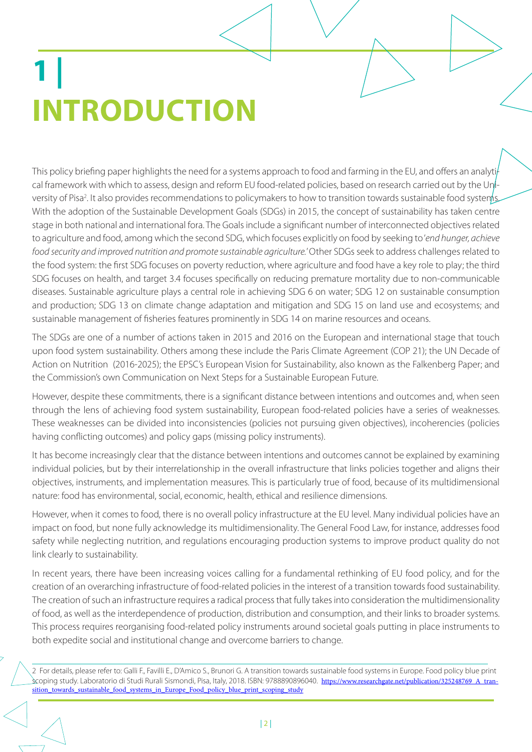## **1 | INTRODUCTION**

This policy briefing paper highlights the need for a systems approach to food and farming in the EU, and offers an analyti cal framework with which to assess, design and reform EU food-related policies, based on research carried out by the University of Pisa<sup>2</sup>. It also provides recommendations to policymakers to how to transition towards sustainable food systems. With the adoption of the Sustainable Development Goals (SDGs) in 2015, the concept of sustainability has taken centre stage in both national and international fora. The Goals include a significant number of interconnected objectives related to agriculture and food, among which the second SDG, which focuses explicitly on food by seeking to 'end hunger, achieve food security and improved nutrition and promote sustainable agriculture.' Other SDGs seek to address challenges related to the food system: the first SDG focuses on poverty reduction, where agriculture and food have a key role to play; the third SDG focuses on health, and target 3.4 focuses specifically on reducing premature mortality due to non-communicable diseases. Sustainable agriculture plays a central role in achieving SDG 6 on water; SDG 12 on sustainable consumption and production; SDG 13 on climate change adaptation and mitigation and SDG 15 on land use and ecosystems; and sustainable management of fisheries features prominently in SDG 14 on marine resources and oceans.

The SDGs are one of a number of actions taken in 2015 and 2016 on the European and international stage that touch upon food system sustainability. Others among these include the Paris Climate Agreement (COP 21); the UN Decade of Action on Nutrition (2016-2025); the EPSC's European Vision for Sustainability, also known as the Falkenberg Paper; and the Commission's own Communication on Next Steps for a Sustainable European Future.

However, despite these commitments, there is a significant distance between intentions and outcomes and, when seen through the lens of achieving food system sustainability, European food-related policies have a series of weaknesses. These weaknesses can be divided into inconsistencies (policies not pursuing given objectives), incoherencies (policies having conflicting outcomes) and policy gaps (missing policy instruments).

It has become increasingly clear that the distance between intentions and outcomes cannot be explained by examining individual policies, but by their interrelationship in the overall infrastructure that links policies together and aligns their objectives, instruments, and implementation measures. This is particularly true of food, because of its multidimensional nature: food has environmental, social, economic, health, ethical and resilience dimensions.

However, when it comes to food, there is no overall policy infrastructure at the EU level. Many individual policies have an impact on food, but none fully acknowledge its multidimensionality. The General Food Law, for instance, addresses food safety while neglecting nutrition, and regulations encouraging production systems to improve product quality do not link clearly to sustainability.

In recent years, there have been increasing voices calling for a fundamental rethinking of EU food policy, and for the creation of an overarching infrastructure of food-related policies in the interest of a transition towards food sustainability. The creation of such an infrastructure requires a radical process that fully takes into consideration the multidimensionality of food, as well as the interdependence of production, distribution and consumption, and their links to broader systems. This process requires reorganising food-related policy instruments around societal goals putting in place instruments to both expedite social and institutional change and overcome barriers to change.

2 For details, please refer to: Galli F., Favilli E., D'Amico S., Brunori G. A transition towards sustainable food systems in Europe. Food policy blue print scoping study. Laboratorio di Studi Rurali Sismondi, Pisa, Italy, 2018. ISBN: 9788890896040. https://www.researchgate.net/publication/325248769\_A\_transition\_towards\_sustainable\_food\_systems\_in\_Europe\_Food\_policy\_blue\_print\_scoping\_study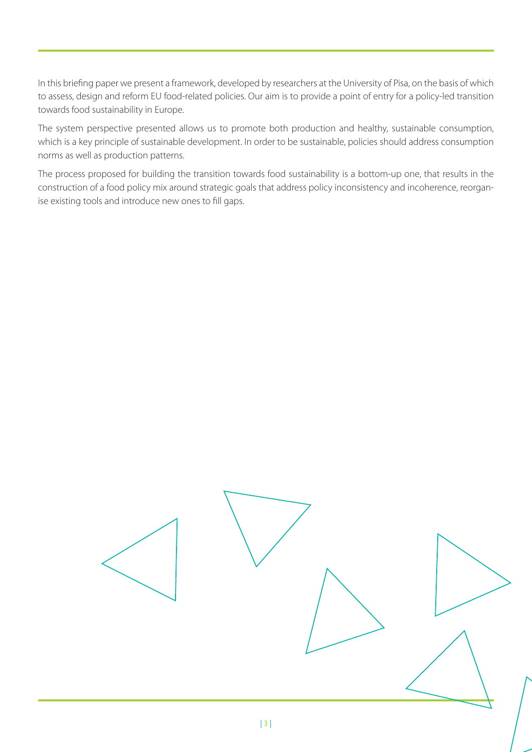In this briefing paper we present a framework, developed by researchers at the University of Pisa, on the basis of which to assess, design and reform EU food-related policies. Our aim is to provide a point of entry for a policy-led transition towards food sustainability in Europe.

The system perspective presented allows us to promote both production and healthy, sustainable consumption, which is a key principle of sustainable development. In order to be sustainable, policies should address consumption norms as well as production patterns.

The process proposed for building the transition towards food sustainability is a bottom-up one, that results in the construction of a food policy mix around strategic goals that address policy inconsistency and incoherence, reorganise existing tools and introduce new ones to fill gaps.

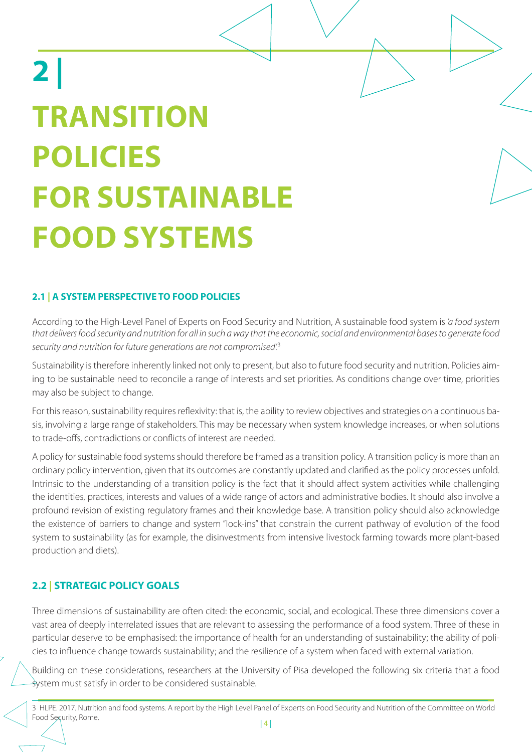# **2 | TRANSITION POLICIES FOR SUSTAINABLE FOOD SYSTEMS**

#### **2.1 | A SYSTEM PERSPECTIVE TO FOOD POLICIES**

According to the High-Level Panel of Experts on Food Security and Nutrition, A sustainable food system is 'a food system that delivers food security and nutrition for all in such a way that the economic, social and environmental bases to generate food security and nutrition for future generations are not compromised.<sup>3</sup>

Sustainability is therefore inherently linked not only to present, but also to future food security and nutrition. Policies aiming to be sustainable need to reconcile a range of interests and set priorities. As conditions change over time, priorities may also be subject to change.

For this reason, sustainability requires reflexivity: that is, the ability to review objectives and strategies on a continuous basis, involving a large range of stakeholders. This may be necessary when system knowledge increases, or when solutions to trade-offs, contradictions or conflicts of interest are needed.

A policy for sustainable food systems should therefore be framed as a transition policy. A transition policy is more than an ordinary policy intervention, given that its outcomes are constantly updated and clarified as the policy processes unfold. Intrinsic to the understanding of a transition policy is the fact that it should affect system activities while challenging the identities, practices, interests and values of a wide range of actors and administrative bodies. It should also involve a profound revision of existing regulatory frames and their knowledge base. A transition policy should also acknowledge the existence of barriers to change and system "lock-ins" that constrain the current pathway of evolution of the food system to sustainability (as for example, the disinvestments from intensive livestock farming towards more plant-based production and diets).

#### **2.2 | STRATEGIC POLICY GOALS**

Three dimensions of sustainability are often cited: the economic, social, and ecological. These three dimensions cover a vast area of deeply interrelated issues that are relevant to assessing the performance of a food system. Three of these in particular deserve to be emphasised: the importance of health for an understanding of sustainability; the ability of policies to influence change towards sustainability; and the resilience of a system when faced with external variation.

Building on these considerations, researchers at the University of Pisa developed the following six criteria that a food system must satisfy in order to be considered sustainable.

3 HLPE. 2017. Nutrition and food systems. A report by the High Level Panel of Experts on Food Security and Nutrition of the Committee on World Food Security, Rome.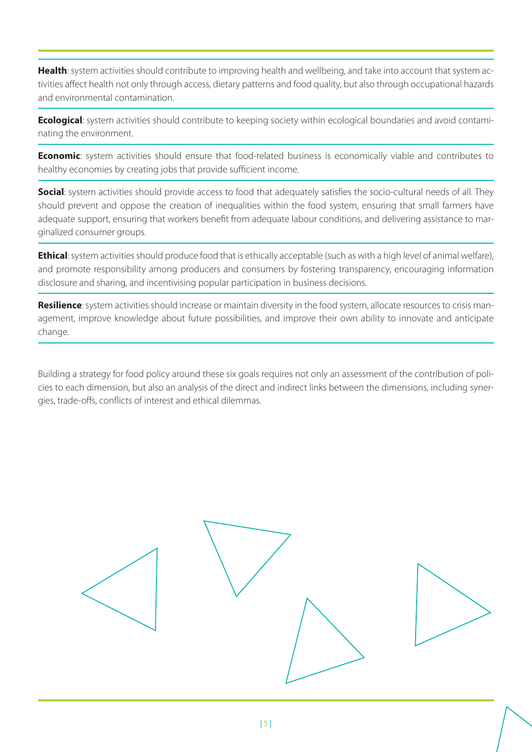**Health**: system activities should contribute to improving health and wellbeing, and take into account that system activities affect health not only through access, dietary patterns and food quality, but also through occupational hazards and environmental contamination.

**Ecological**: system activities should contribute to keeping society within ecological boundaries and avoid contaminating the environment.

**Economic**: system activities should ensure that food-related business is economically viable and contributes to healthy economies by creating jobs that provide sufficient income.

**Social:** system activities should provide access to food that adequately satisfies the socio-cultural needs of all. They should prevent and oppose the creation of inequalities within the food system, ensuring that small farmers have adequate support, ensuring that workers benefit from adequate labour conditions, and delivering assistance to marginalized consumer groups.

**Ethical**: system activities should produce food that is ethically acceptable (such as with a high level of animal welfare), and promote responsibility among producers and consumers by fostering transparency, encouraging information disclosure and sharing, and incentivising popular participation in business decisions.

**Resilience**: system activities should increase or maintain diversity in the food system, allocate resources to crisis management, improve knowledge about future possibilities, and improve their own ability to innovate and anticipate change.

Building a strategy for food policy around these six goals requires not only an assessment of the contribution of policies to each dimension, but also an analysis of the direct and indirect links between the dimensions, including synergies, trade-offs, conflicts of interest and ethical dilemmas.

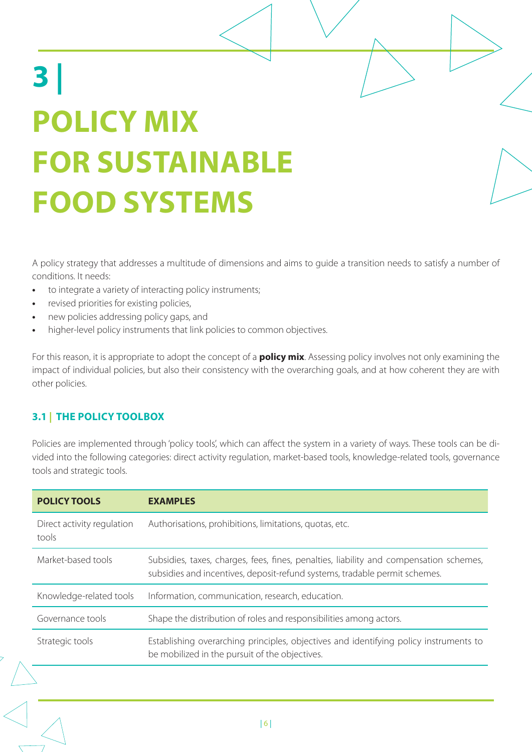# **3 | POLICY MIX FOR SUSTAINABLE FOOD SYSTEMS**

A policy strategy that addresses a multitude of dimensions and aims to guide a transition needs to satisfy a number of conditions. It needs:

- to integrate a variety of interacting policy instruments;
- revised priorities for existing policies,
- new policies addressing policy gaps, and
- higher-level policy instruments that link policies to common objectives.

For this reason, it is appropriate to adopt the concept of a **policy mix**. Assessing policy involves not only examining the impact of individual policies, but also their consistency with the overarching goals, and at how coherent they are with other policies.

#### **3.1 | THE POLICY TOOLBOX**

Policies are implemented through 'policy tools', which can affect the system in a variety of ways. These tools can be divided into the following categories: direct activity regulation, market-based tools, knowledge-related tools, governance tools and strategic tools.

| <b>POLICY TOOLS</b>                 | <b>EXAMPLES</b>                                                                                                                                                      |
|-------------------------------------|----------------------------------------------------------------------------------------------------------------------------------------------------------------------|
| Direct activity regulation<br>tools | Authorisations, prohibitions, limitations, quotas, etc.                                                                                                              |
| Market-based tools                  | Subsidies, taxes, charges, fees, fines, penalties, liability and compensation schemes,<br>subsidies and incentives, deposit-refund systems, tradable permit schemes. |
| Knowledge-related tools             | Information, communication, research, education.                                                                                                                     |
| Governance tools                    | Shape the distribution of roles and responsibilities among actors.                                                                                                   |
| Strategic tools                     | Establishing overarching principles, objectives and identifying policy instruments to<br>be mobilized in the pursuit of the objectives.                              |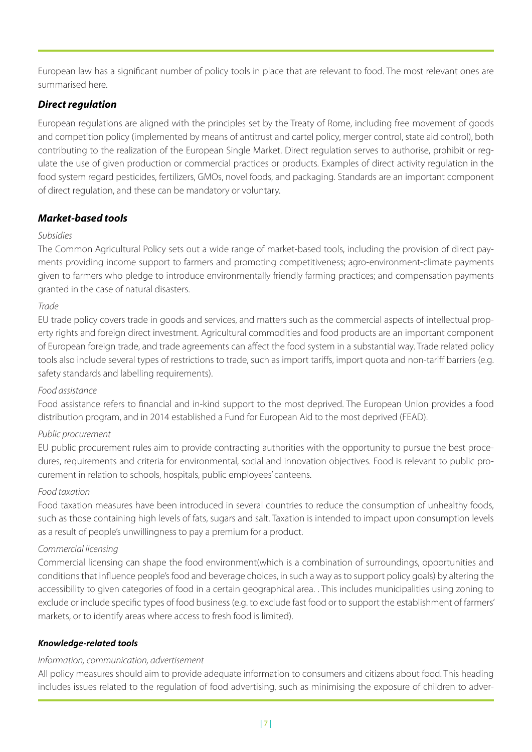European law has a significant number of policy tools in place that are relevant to food. The most relevant ones are summarised here.

#### **Direct regulation**

European regulations are aligned with the principles set by the Treaty of Rome, including free movement of goods and competition policy (implemented by means of antitrust and cartel policy, merger control, state aid control), both contributing to the realization of the European Single Market. Direct regulation serves to authorise, prohibit or regulate the use of given production or commercial practices or products. Examples of direct activity regulation in the food system regard pesticides, fertilizers, GMOs, novel foods, and packaging. Standards are an important component of direct regulation, and these can be mandatory or voluntary.

#### **Market-based tools**

#### Subsidies

The Common Agricultural Policy sets out a wide range of market-based tools, including the provision of direct payments providing income support to farmers and promoting competitiveness; agro-environment-climate payments given to farmers who pledge to introduce environmentally friendly farming practices; and compensation payments granted in the case of natural disasters.

#### Trade

EU trade policy covers trade in goods and services, and matters such as the commercial aspects of intellectual property rights and foreign direct investment. Agricultural commodities and food products are an important component of European foreign trade, and trade agreements can affect the food system in a substantial way. Trade related policy tools also include several types of restrictions to trade, such as import tariffs, import quota and non-tariff barriers (e.g. safety standards and labelling requirements).

#### Food assistance

Food assistance refers to financial and in-kind support to the most deprived. The European Union provides a food distribution program, and in 2014 established a Fund for European Aid to the most deprived (FEAD).

#### Public procurement

EU public procurement rules aim to provide contracting authorities with the opportunity to pursue the best procedures, requirements and criteria for environmental, social and innovation objectives. Food is relevant to public procurement in relation to schools, hospitals, public employees' canteens.

#### Food taxation

Food taxation measures have been introduced in several countries to reduce the consumption of unhealthy foods, such as those containing high levels of fats, sugars and salt. Taxation is intended to impact upon consumption levels as a result of people's unwillingness to pay a premium for a product.

#### Commercial licensing

Commercial licensing can shape the food environment(which is a combination of surroundings, opportunities and conditions that influence people's food and beverage choices, in such a way as to support policy goals) by altering the accessibility to given categories of food in a certain geographical area. . This includes municipalities using zoning to exclude or include specific types of food business (e.g. to exclude fast food or to support the establishment of farmers' markets, or to identify areas where access to fresh food is limited).

#### *Knowledge-related tools*

#### Information, communication, advertisement

All policy measures should aim to provide adequate information to consumers and citizens about food. This heading includes issues related to the regulation of food advertising, such as minimising the exposure of children to adver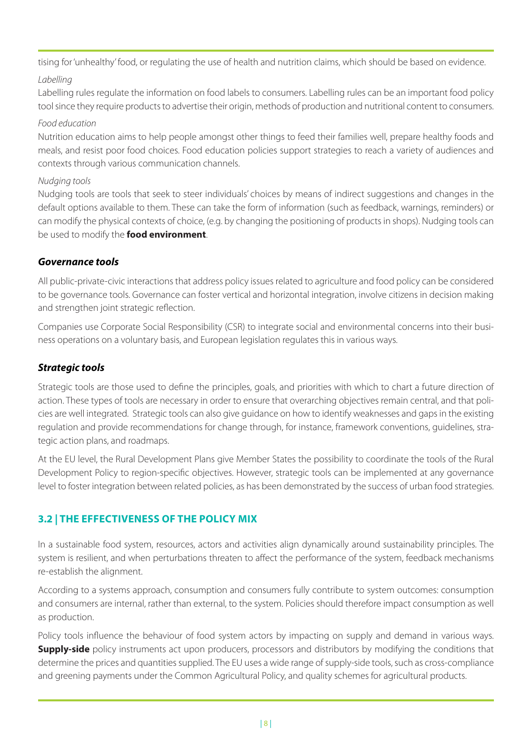tising for 'unhealthy' food, or regulating the use of health and nutrition claims, which should be based on evidence.

#### Labelling

Labelling rules regulate the information on food labels to consumers. Labelling rules can be an important food policy tool since they require products to advertise their origin, methods of production and nutritional content to consumers.

#### Food education

Nutrition education aims to help people amongst other things to feed their families well, prepare healthy foods and meals, and resist poor food choices. Food education policies support strategies to reach a variety of audiences and contexts through various communication channels.

#### Nudging tools

Nudging tools are tools that seek to steer individuals' choices by means of indirect suggestions and changes in the default options available to them. These can take the form of information (such as feedback, warnings, reminders) or can modify the physical contexts of choice, (e.g. by changing the positioning of products in shops). Nudging tools can be used to modify the **food environment**.

#### **Governance tools**

All public-private-civic interactions that address policy issues related to agriculture and food policy can be considered to be governance tools. Governance can foster vertical and horizontal integration, involve citizens in decision making and strengthen joint strategic reflection.

Companies use Corporate Social Responsibility (CSR) to integrate social and environmental concerns into their business operations on a voluntary basis, and European legislation regulates this in various ways.

#### **Strategic tools**

Strategic tools are those used to define the principles, goals, and priorities with which to chart a future direction of action. These types of tools are necessary in order to ensure that overarching objectives remain central, and that policies are well integrated. Strategic tools can also give guidance on how to identify weaknesses and gaps in the existing regulation and provide recommendations for change through, for instance, framework conventions, guidelines, strategic action plans, and roadmaps.

At the EU level, the Rural Development Plans give Member States the possibility to coordinate the tools of the Rural Development Policy to region-specific objectives. However, strategic tools can be implemented at any governance level to foster integration between related policies, as has been demonstrated by the success of urban food strategies.

#### **3.2 | THE EFFECTIVENESS OF THE POLICY MIX**

In a sustainable food system, resources, actors and activities align dynamically around sustainability principles. The system is resilient, and when perturbations threaten to affect the performance of the system, feedback mechanisms re-establish the alignment.

According to a systems approach, consumption and consumers fully contribute to system outcomes: consumption and consumers are internal, rather than external, to the system. Policies should therefore impact consumption as well as production.

Policy tools influence the behaviour of food system actors by impacting on supply and demand in various ways. **Supply-side** policy instruments act upon producers, processors and distributors by modifying the conditions that determine the prices and quantities supplied. The EU uses a wide range of supply-side tools, such as cross-compliance and greening payments under the Common Agricultural Policy, and quality schemes for agricultural products.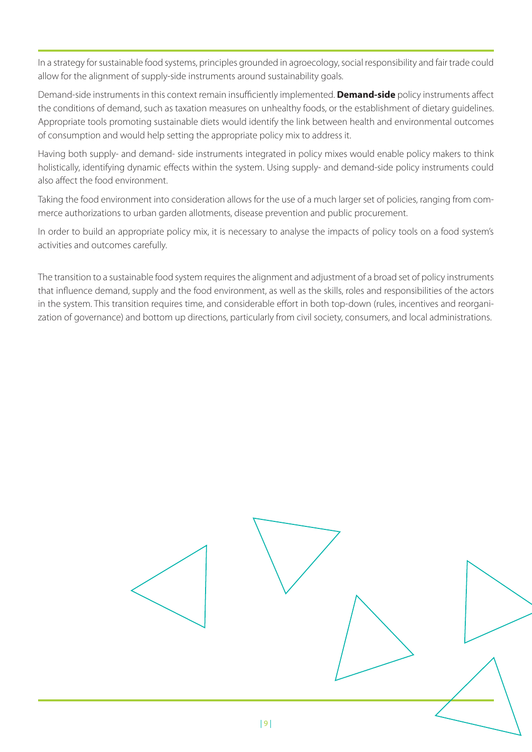In a strategy for sustainable food systems, principles grounded in agroecology, social responsibility and fair trade could allow for the alignment of supply-side instruments around sustainability goals.

Demand-side instruments in this context remain insufficiently implemented. **Demand-side** policy instruments affect the conditions of demand, such as taxation measures on unhealthy foods, or the establishment of dietary guidelines. Appropriate tools promoting sustainable diets would identify the link between health and environmental outcomes of consumption and would help setting the appropriate policy mix to address it.

Having both supply- and demand- side instruments integrated in policy mixes would enable policy makers to think holistically, identifying dynamic effects within the system. Using supply- and demand-side policy instruments could also affect the food environment.

Taking the food environment into consideration allows for the use of a much larger set of policies, ranging from commerce authorizations to urban garden allotments, disease prevention and public procurement.

In order to build an appropriate policy mix, it is necessary to analyse the impacts of policy tools on a food system's activities and outcomes carefully.

The transition to a sustainable food system requires the alignment and adjustment of a broad set of policy instruments that influence demand, supply and the food environment, as well as the skills, roles and responsibilities of the actors in the system. This transition requires time, and considerable effort in both top-down (rules, incentives and reorganization of governance) and bottom up directions, particularly from civil society, consumers, and local administrations.

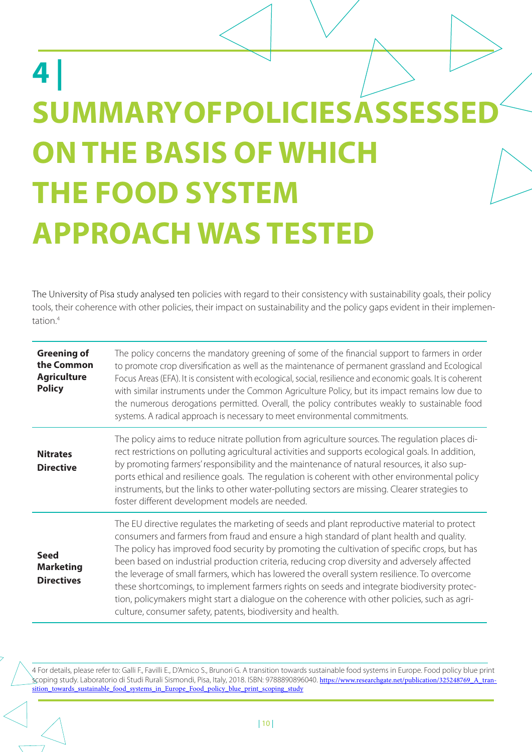### **4 | SUMMARY OF POLICIES ASSESSED ON THE BASIS OF WHICH THE FOOD SYSTEM APPROACH WAS TESTED**

The University of Pisa study analysed ten policies with regard to their consistency with sustainability goals, their policy tools, their coherence with other policies, their impact on sustainability and the policy gaps evident in their implementation.<sup>4</sup>

| <b>Greening of</b><br>the Common<br><b>Agriculture</b><br><b>Policy</b> | The policy concerns the mandatory greening of some of the financial support to farmers in order<br>to promote crop diversification as well as the maintenance of permanent grassland and Ecological<br>Focus Areas (EFA). It is consistent with ecological, social, resilience and economic goals. It is coherent<br>with similar instruments under the Common Agriculture Policy, but its impact remains low due to<br>the numerous derogations permitted. Overall, the policy contributes weakly to sustainable food<br>systems. A radical approach is necessary to meet environmental commitments.                                                                                                                                                   |
|-------------------------------------------------------------------------|---------------------------------------------------------------------------------------------------------------------------------------------------------------------------------------------------------------------------------------------------------------------------------------------------------------------------------------------------------------------------------------------------------------------------------------------------------------------------------------------------------------------------------------------------------------------------------------------------------------------------------------------------------------------------------------------------------------------------------------------------------|
| <b>Nitrates</b><br><b>Directive</b>                                     | The policy aims to reduce nitrate pollution from agriculture sources. The regulation places di-<br>rect restrictions on polluting agricultural activities and supports ecological goals. In addition,<br>by promoting farmers' responsibility and the maintenance of natural resources, it also sup-<br>ports ethical and resilience goals. The regulation is coherent with other environmental policy<br>instruments, but the links to other water-polluting sectors are missing. Clearer strategies to<br>foster different development models are needed.                                                                                                                                                                                             |
| <b>Seed</b><br><b>Marketing</b><br><b>Directives</b>                    | The EU directive regulates the marketing of seeds and plant reproductive material to protect<br>consumers and farmers from fraud and ensure a high standard of plant health and quality.<br>The policy has improved food security by promoting the cultivation of specific crops, but has<br>been based on industrial production criteria, reducing crop diversity and adversely affected<br>the leverage of small farmers, which has lowered the overall system resilience. To overcome<br>these shortcomings, to implement farmers rights on seeds and integrate biodiversity protec-<br>tion, policymakers might start a dialogue on the coherence with other policies, such as agri-<br>culture, consumer safety, patents, biodiversity and health. |

4 For details, please refer to: Galli F., Favilli E., D'Amico S., Brunori G. A transition towards sustainable food systems in Europe. Food policy blue print scoping study. Laboratorio di Studi Rurali Sismondi, Pisa, Italy, 2018. ISBN: 9788890896040. https://www.researchgate.net/publication/325248769\_A\_tran sition towards\_sustainable\_food\_systems\_in\_Europe\_Food\_policy\_blue\_print\_scoping\_study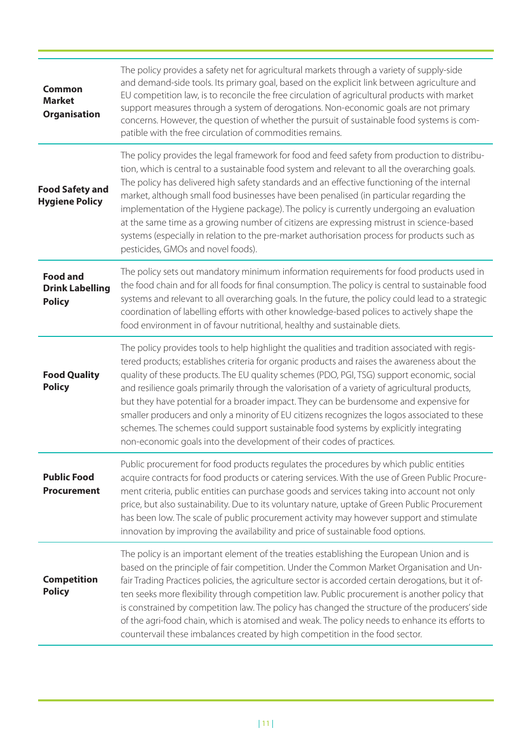| <b>Common</b><br><b>Market</b><br>Organisation             | The policy provides a safety net for agricultural markets through a variety of supply-side<br>and demand-side tools. Its primary goal, based on the explicit link between agriculture and<br>EU competition law, is to reconcile the free circulation of agricultural products with market<br>support measures through a system of derogations. Non-economic goals are not primary<br>concerns. However, the question of whether the pursuit of sustainable food systems is com-<br>patible with the free circulation of commodities remains.                                                                                                                                                                                                              |
|------------------------------------------------------------|------------------------------------------------------------------------------------------------------------------------------------------------------------------------------------------------------------------------------------------------------------------------------------------------------------------------------------------------------------------------------------------------------------------------------------------------------------------------------------------------------------------------------------------------------------------------------------------------------------------------------------------------------------------------------------------------------------------------------------------------------------|
| <b>Food Safety and</b><br><b>Hygiene Policy</b>            | The policy provides the legal framework for food and feed safety from production to distribu-<br>tion, which is central to a sustainable food system and relevant to all the overarching goals.<br>The policy has delivered high safety standards and an effective functioning of the internal<br>market, although small food businesses have been penalised (in particular regarding the<br>implementation of the Hygiene package). The policy is currently undergoing an evaluation<br>at the same time as a growing number of citizens are expressing mistrust in science-based<br>systems (especially in relation to the pre-market authorisation process for products such as<br>pesticides, GMOs and novel foods).                                   |
| <b>Food and</b><br><b>Drink Labelling</b><br><b>Policy</b> | The policy sets out mandatory minimum information requirements for food products used in<br>the food chain and for all foods for final consumption. The policy is central to sustainable food<br>systems and relevant to all overarching goals. In the future, the policy could lead to a strategic<br>coordination of labelling efforts with other knowledge-based polices to actively shape the<br>food environment in of favour nutritional, healthy and sustainable diets.                                                                                                                                                                                                                                                                             |
| <b>Food Quality</b><br><b>Policy</b>                       | The policy provides tools to help highlight the qualities and tradition associated with regis-<br>tered products; establishes criteria for organic products and raises the awareness about the<br>quality of these products. The EU quality schemes (PDO, PGI, TSG) support economic, social<br>and resilience goals primarily through the valorisation of a variety of agricultural products,<br>but they have potential for a broader impact. They can be burdensome and expensive for<br>smaller producers and only a minority of EU citizens recognizes the logos associated to these<br>schemes. The schemes could support sustainable food systems by explicitly integrating<br>non-economic goals into the development of their codes of practices. |
| <b>Public Food</b><br><b>Procurement</b>                   | Public procurement for food products regulates the procedures by which public entities<br>acquire contracts for food products or catering services. With the use of Green Public Procure-<br>ment criteria, public entities can purchase goods and services taking into account not only<br>price, but also sustainability. Due to its voluntary nature, uptake of Green Public Procurement<br>has been low. The scale of public procurement activity may however support and stimulate<br>innovation by improving the availability and price of sustainable food options.                                                                                                                                                                                 |
| <b>Competition</b><br><b>Policy</b>                        | The policy is an important element of the treaties establishing the European Union and is<br>based on the principle of fair competition. Under the Common Market Organisation and Un-<br>fair Trading Practices policies, the agriculture sector is accorded certain derogations, but it of-<br>ten seeks more flexibility through competition law. Public procurement is another policy that<br>is constrained by competition law. The policy has changed the structure of the producers' side<br>of the agri-food chain, which is atomised and weak. The policy needs to enhance its efforts to<br>countervail these imbalances created by high competition in the food sector.                                                                          |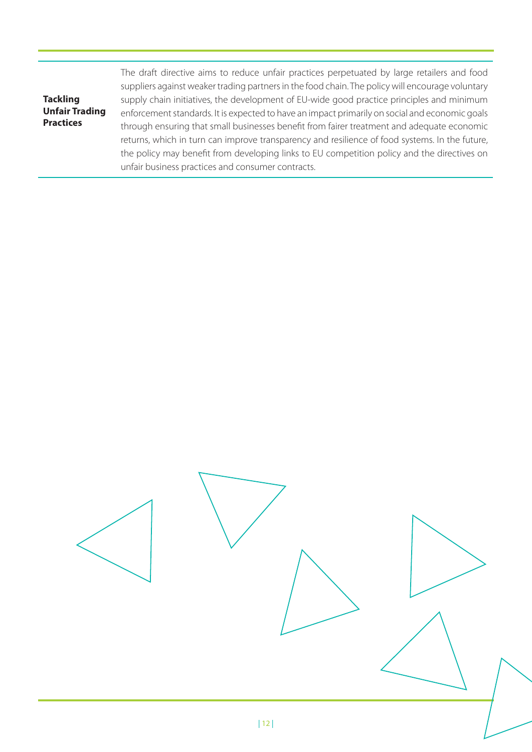| <b>Tackling</b>       |
|-----------------------|
| <b>Unfair Trading</b> |
| <b>Practices</b>      |

The draft directive aims to reduce unfair practices perpetuated by large retailers and food suppliers against weaker trading partners in the food chain. The policy will encourage voluntary supply chain initiatives, the development of EU-wide good practice principles and minimum enforcement standards. It is expected to have an impact primarily on social and economic goals through ensuring that small businesses benefit from fairer treatment and adequate economic returns, which in turn can improve transparency and resilience of food systems. In the future, the policy may benefit from developing links to EU competition policy and the directives on unfair business practices and consumer contracts.

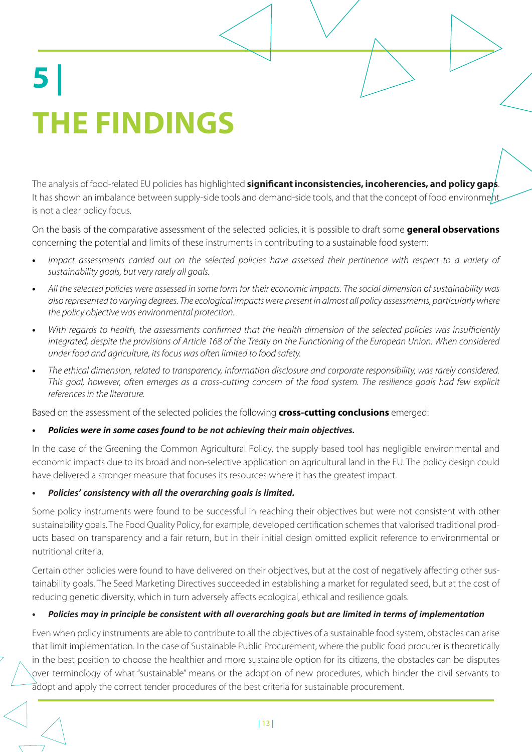# **5 | THE FINDINGS**

The analysis of food-related EU policies has highlighted **significant inconsistencies, incoherencies, and policy gaps**. It has shown an imbalance between supply-side tools and demand-side tools, and that the concept of food environment is not a clear policy focus.

On the basis of the comparative assessment of the selected policies, it is possible to draft some **general observations** concerning the potential and limits of these instruments in contributing to a sustainable food system:

- Impact assessments carried out on the selected policies have assessed their pertinence with respect to a variety of sustainability goals, but very rarely all goals.
- All the selected policies were assessed in some form for their economic impacts. The social dimension of sustainability was also represented to varying degrees. The ecological impacts were present in almost all policy assessments, particularly where the policy objective was environmental protection.
- With regards to health, the assessments confirmed that the health dimension of the selected policies was insufficiently integrated, despite the provisions of Article 168 of the Treaty on the Functioning of the European Union. When considered under food and agriculture, its focus was often limited to food safety.
- The ethical dimension, related to transparency, information disclosure and corporate responsibility, was rarely considered. This goal, however, often emerges as a cross-cutting concern of the food system. The resilience goals had few explicit references in the literature.

Based on the assessment of the selected policies the following **cross-cutting conclusions** emerged:

#### **•** *Policies were in some cases found to be not achieving their main objecives.*

In the case of the Greening the Common Agricultural Policy, the supply-based tool has negligible environmental and economic impacts due to its broad and non-selective application on agricultural land in the EU. The policy design could have delivered a stronger measure that focuses its resources where it has the greatest impact.

#### **•** *Policies' consistency with all the overarching goals is limited.*

Some policy instruments were found to be successful in reaching their objectives but were not consistent with other sustainability goals. The Food Quality Policy, for example, developed certification schemes that valorised traditional products based on transparency and a fair return, but in their initial design omitted explicit reference to environmental or nutritional criteria.

Certain other policies were found to have delivered on their objectives, but at the cost of negatively affecting other sustainability goals. The Seed Marketing Directives succeeded in establishing a market for regulated seed, but at the cost of reducing genetic diversity, which in turn adversely affects ecological, ethical and resilience goals.

#### **•** *Policies may in principle be consistent with all overarching goals but are limited in terms of implementaion*

Even when policy instruments are able to contribute to all the objectives of a sustainable food system, obstacles can arise that limit implementation. In the case of Sustainable Public Procurement, where the public food procurer is theoretically in the best position to choose the healthier and more sustainable option for its citizens, the obstacles can be disputes over terminology of what "sustainable" means or the adoption of new procedures, which hinder the civil servants to adopt and apply the correct tender procedures of the best criteria for sustainable procurement.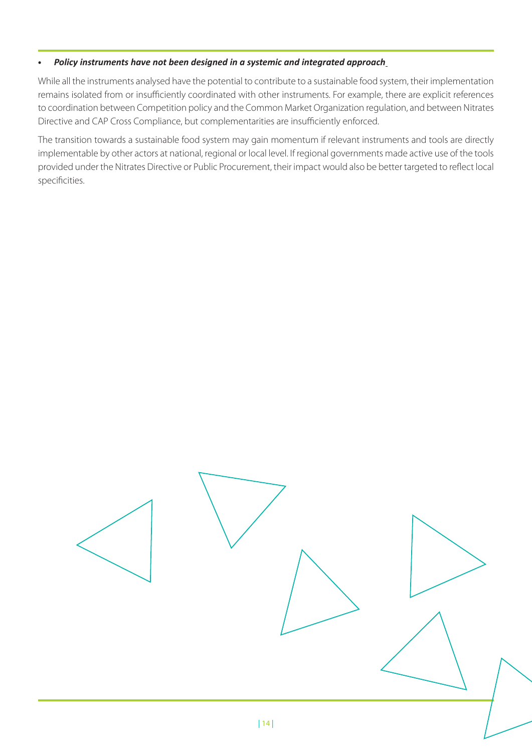#### **•** *Policy instruments have not been designed in a systemic and integrated approach*

While all the instruments analysed have the potential to contribute to a sustainable food system, their implementation remains isolated from or insufficiently coordinated with other instruments. For example, there are explicit references to coordination between Competition policy and the Common Market Organization regulation, and between Nitrates Directive and CAP Cross Compliance, but complementarities are insufficiently enforced.

The transition towards a sustainable food system may gain momentum if relevant instruments and tools are directly implementable by other actors at national, regional or local level. If regional governments made active use of the tools provided under the Nitrates Directive or Public Procurement, their impact would also be better targeted to reflect local specificities.

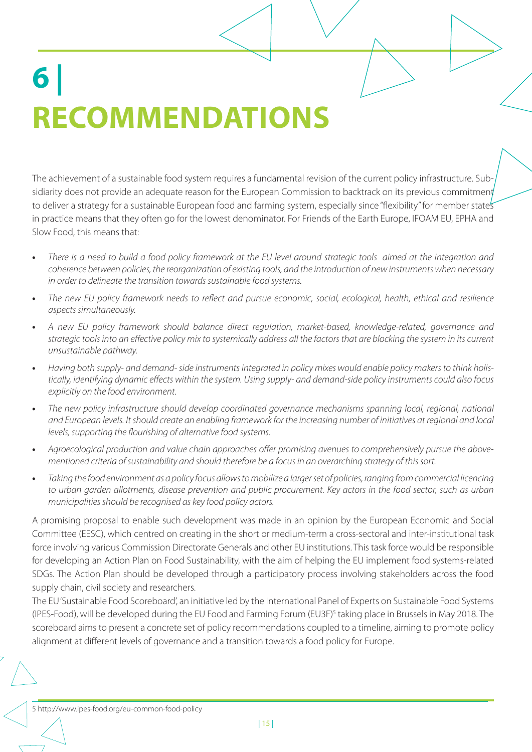# **6 | RECOMMENDATIONS**

The achievement of a sustainable food system requires a fundamental revision of the current policy infrastructure. Subsidiarity does not provide an adequate reason for the European Commission to backtrack on its previous commitment to deliver a strategy for a sustainable European food and farming system, especially since "flexibility" for member states in practice means that they often go for the lowest denominator. For Friends of the Earth Europe, IFOAM EU, EPHA and Slow Food, this means that:

- There is a need to build a food policy framework at the EU level around strategic tools aimed at the integration and coherence between policies, the reorganization of existing tools, and the introduction of new instruments when necessary in order to delineate the transition towards sustainable food systems.
- The new EU policy framework needs to reflect and pursue economic, social, ecological, health, ethical and resilience aspects simultaneously.
- A new EU policy framework should balance direct regulation, market-based, knowledge-related, governance and strategic tools into an effective policy mix to systemically address all the factors that are blocking the system in its current unsustainable pathway.
- Having both supply- and demand- side instruments integrated in policy mixes would enable policy makers to think holistically, identifying dynamic effects within the system. Using supply- and demand-side policy instruments could also focus explicitly on the food environment.
- The new policy infrastructure should develop coordinated governance mechanisms spanning local, regional, national and European levels. It should create an enabling framework for the increasing number of initiatives at regional and local levels, supporting the flourishing of alternative food systems.
- Agroecological production and value chain approaches offer promising avenues to comprehensively pursue the abovementioned criteria of sustainability and should therefore be a focus in an overarching strategy of this sort.
- Taking the food environment as a policy focus allows to mobilize a larger set of policies, ranging from commercial licencing to urban garden allotments, disease prevention and public procurement. Key actors in the food sector, such as urban municipalities should be recognised as key food policy actors.

A promising proposal to enable such development was made in an opinion by the European Economic and Social Committee (EESC), which centred on creating in the short or medium-term a cross-sectoral and inter-institutional task force involving various Commission Directorate Generals and other EU institutions. This task force would be responsible for developing an Action Plan on Food Sustainability, with the aim of helping the EU implement food systems-related SDGs. The Action Plan should be developed through a participatory process involving stakeholders across the food supply chain, civil society and researchers.

The EU 'Sustainable Food Scoreboard', an initiative led by the International Panel of Experts on Sustainable Food Systems (IPES-Food), will be developed during the EU Food and Farming Forum (EU3F)<sup>5</sup> taking place in Brussels in May 2018. The scoreboard aims to present a concrete set of policy recommendations coupled to a timeline, aiming to promote policy alignment at different levels of governance and a transition towards a food policy for Europe.

5 http://www.ipes-food.org/eu-common-food-policy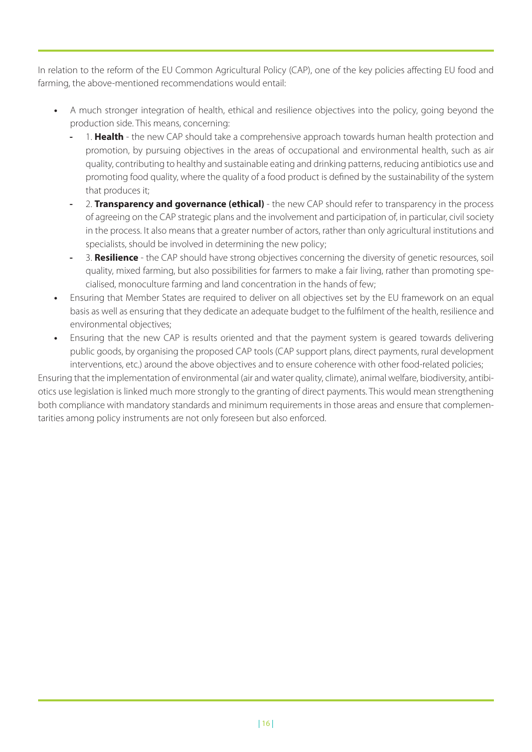In relation to the reform of the EU Common Agricultural Policy (CAP), one of the key policies affecting EU food and farming, the above-mentioned recommendations would entail:

- A much stronger integration of health, ethical and resilience objectives into the policy, going beyond the production side. This means, concerning:
	- 1. **Health** the new CAP should take a comprehensive approach towards human health protection and promotion, by pursuing objectives in the areas of occupational and environmental health, such as air quality, contributing to healthy and sustainable eating and drinking patterns, reducing antibiotics use and promoting food quality, where the quality of a food product is defined by the sustainability of the system that produces it;
	- 2. **Transparency and governance (ethical)** the new CAP should refer to transparency in the process of agreeing on the CAP strategic plans and the involvement and participation of, in particular, civil society in the process. It also means that a greater number of actors, rather than only agricultural institutions and specialists, should be involved in determining the new policy;
	- 3. **Resilience** the CAP should have strong objectives concerning the diversity of genetic resources, soil quality, mixed farming, but also possibilities for farmers to make a fair living, rather than promoting specialised, monoculture farming and land concentration in the hands of few;
- Ensuring that Member States are required to deliver on all objectives set by the EU framework on an equal basis as well as ensuring that they dedicate an adequate budget to the fulfilment of the health, resilience and environmental objectives;
- Ensuring that the new CAP is results oriented and that the payment system is geared towards delivering public goods, by organising the proposed CAP tools (CAP support plans, direct payments, rural development interventions, etc.) around the above objectives and to ensure coherence with other food-related policies;

Ensuring that the implementation of environmental (air and water quality, climate), animal welfare, biodiversity, antibiotics use legislation is linked much more strongly to the granting of direct payments. This would mean strengthening both compliance with mandatory standards and minimum requirements in those areas and ensure that complementarities among policy instruments are not only foreseen but also enforced.